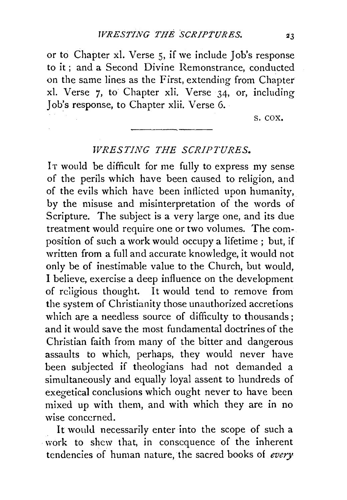or to Chapter xl. Verse 5, if we include Job's response to it ; and a Second Divine Remonstrance, conducted on the same lines as the First, extending from Chapter xi. Verse 7, to Chapter xli. Verse 34, or, including Job's response, to Chapter xlii. Verse 6.

s. cox.

## *WRESTING THE SCRIPTURES.*

IT would be difficult for me fully to express my sense of the perils which have been caused to religion, and of the evils which have been inflicted upon humanity, by the misuse and misinterpretation of the words of Scripture. The subject is a very large one, and its due treatment would require one or two volumes. The composition of such a work would occupy a lifetime; but, if written from a full and accurate knowledge, it would not only be of inestimable value to the Church, but would, I believe, exercise a deep influence on the development of religious thought. It would tend to remove from the system of Christianity those unauthorized accretions which are a needless source of difficulty to thousands; and it would save the most fundamental doctrines of the Christian faith from many of the bitter and dangerous assaults to which, perhaps, they would never have been subjected if theologians had not demanded a simultaneously and equally loyal assent to hundreds of exegetical conclusions which ought never to have been mixed up with them, and with which they are in no wise concerned.

It would necessarily enter into the scope of such a work to shew that, in consequence of the inherent tendencies of human nature, the sacred books of *every*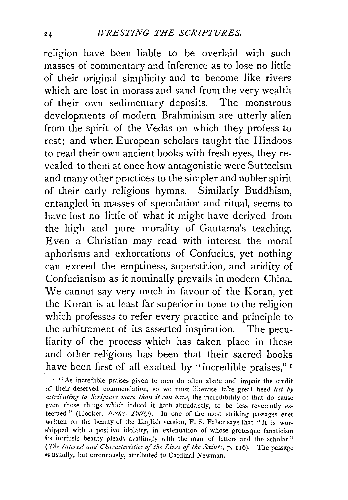religion have been liable to be overlaid with such masses of commentary and inference as to lose no little of their original simplicity and to become like rivers which are lost in morass and sand from the very wealth of their own sedimentary deposits. The monstrous developments of modern Brahminism are utterly alien from the spirit of the Vedas on which they profess to rest; and when European scholars taught the Hindoos to read their own ancient books with fresh eyes, they revealed to them at once how antagonistic were Sutteeism and many other practices to the simpler and nobler spirit of their early religious hymns. Similarly Buddhism, entangled in masses of speculation and ritual, seems to have lost no little of what it might have derived from the high and pure morality of Gautama's teaching. Even a Christian may read with interest the moral aphorisms and exhortations of Confucius, yet nothing can exceed the emptiness, superstition, and aridity of Confucianism as it nominally prevails in modern China. We cannot say very much in favour of the Koran, yet the Koran is at least far superior in tone to the religion which professes to refer every practice and principle to the arbitrament of its asserted inspiration. The peculiarity of the process which has taken place in these and other religions has been that their sacred books have been first of all exalted by "incredible praises,"<sup>1</sup>

<sup>&</sup>lt;sup>1</sup> "As incredible praises given to men do often abate and impair the credit of their deserved commenclati<>n, so we must likewise take great heed *lest by attributing to Scripture more than it can have,* the incredibility of that do cause even those things which indeed it hath abundantly, to be less reverently esteemed" (Hooker, Eccles. Polity). In one of the most striking passages ever written on the beauty of the English version, F. S. Faber says that "It is worshipped with a positive idolatry, in extenuation of whose grotesque fanaticism its intrinsic beauty pleads availingly with the man of letters and the scholar" *(The Interest aud Characteristics* of *the Lives of the Saiuts,* p. I 16). The passage is usually, but erroneously, attributed to Cardinal Newman.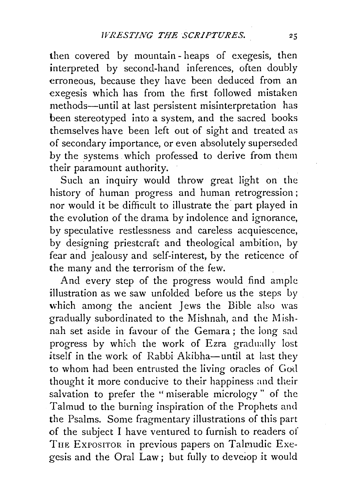then covered by mountain- heaps of exegesis, then interpreted by second-hand inferences, often doubly erroneous, because they have been deduced from an exegesis which has from the first followed mistaken methods-until at last persistent misinterpretation has been stereotyped into a system, and the sacred books themselves have been left out of sight and treated as of secondary importance, or even absolutely superseded by the systems which professed to derive from them their paramount authority.

Such an inquiry would throw great light on the history of human progress and human retrogression; nor would it be difficult to illustrate the part played in the evolution of the drama by indolence and ignorance, by speculative restlessness and careless acquiescence, by designing priestcraft and theological ambition, by fear and jealousy and self-interest, by the reticence of the many and the terrorism of the few.

And every step of the progress would find ample illustration as we saw unfolded before us the steps by which among the ancient Jews the Bible also was gradually subordinated to the Mishnah, and the Mishnab set aside in favour of the Gemara ; the long sall progress by which the work of Ezra gradually lost itself in the work of Rabbi Akibha-until at last they to whom had been entrusted the living oracles of God thought it more conducive to their happiness and their salvation to prefer the "miserable micrology" of the Talmud to the burning inspiration of the Prophets and the Psalms. Some fragmentary illustrations of this part of the subject I have ventured to furnish to readers of THE EXPOSITOR in previous papers on Talmudic Exegesis and the Oral Law; but fully to develop it would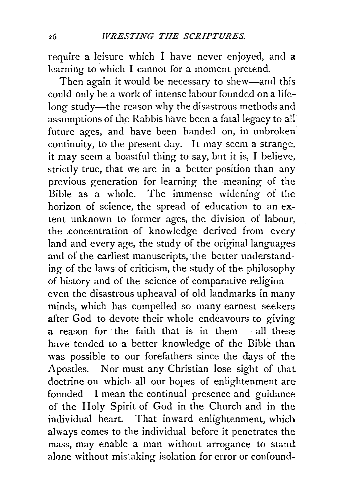require a leisure which I have never enjoyed, and a learning to which I cannot for a moment pretend.

Then again it would be necessary to shew-and this could only be a work of intense labour founded on a lifelong study-the reason why the disastrous methods and assumptions of the Rabbis have been a fatal legacy to all future ages, and have been handed on, in unbroken continuity, to the present day. It may seem a strange, it may seem a boastful thing to say, but it is, I believe, strictly true, that we are in a better position than any previous generation for learning the meaning of the Bible as a whole. The immense widening of the horizon of science, the spread of education to an extent unknown to former ages, the division of labour, the .concentration of knowledge derived from every land and every age, the study of the original languages and of the earliest manuscripts, the better understanding of the laws of criticism, the study of the philosophy of history and of the science of comparative religioneven the disastrous upheaval of old landmarks in many minds, which has compelled so many earnest seekers after God to devote their whole endeavours to giving a reason for the faith that is in them  $-$  all these have tended to a better knowledge of the Bible than was possible to our forefathers since the days of the Apostles. Nor must any Christian lose sight of that doctrine on which all our hopes of enlightenment are founded-I mean the continual presence and guidance of the Holy Spirit of God in the Church and in the individual heart. That inward enlightenment, which always comes to the individual before it penetrates the mass, may enable a man without arrogance to stand alone without mistaking isolation for error or confound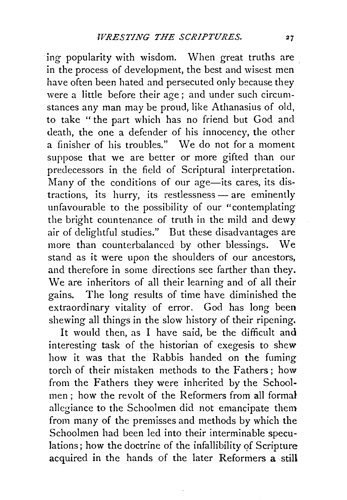ing popularity with wisdom. When great truths are in the process of development, the best and wisest men have often been hated and persecuted only because they were a little before their age; and under such circumstances any man may be proud, like Athanasius of old, to take " the part which has no friend but God and death, the one a defender of his innocency, the other a finisher of his troubles." We do not for a moment suppose that we are better or more gifted than our predecessors in the field of Scriptural interpretation. Many of the conditions of our  $age$ —its cares, its distractions, its hurry, its restlessness - are eminently unfavourable to the possibility of our "contemplating the bright countenance of truth in the mild and dewy air of delightful studies." But these disadvantages are more than counterbalanced by other blessings. We stand as it were upon the shoulders of our ancestors, and therefore in some directions see farther than they. We are inheritors of all their learning and of all their gains. The long results of time have diminished the extraordinary vitality of error. God has long been shewing all things in the slow history of their ripening.

It would then, as I have said, be the difficult and interesting task of the historian of exegesis to shew how it was that the Rabbis handed on the fuming torch of their mistaken methods to the Fathers; how from the Fathers they were inherited by the Schoolmen ; how the revolt of the Reformers from all formal allegiance to the Schoolmen did not emancipate them from many of the premisses and methods by which the Schoolmen had been led into their interminable speculations; how the doctrine of the infallibility of Scripture acquired in the hands of the later Reformers a still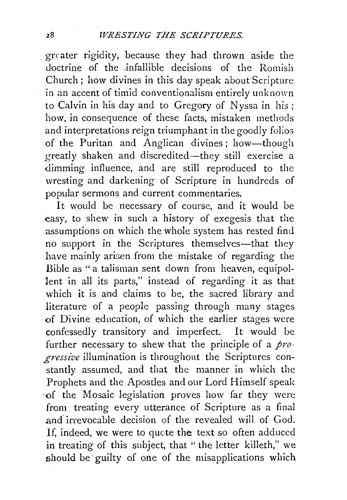grrater rigidity, because they had thrown aside the doctrine of the infallible decisions of the Romish Church; how divines in this day speak about Scripture in an accent of timid conventionalism entirely unknown to Calvin in his day and to Gregory of Nyssa in his; how, in consequence of these facts, mistaken methods and interpretations reign triumphant in the goodly folios of the Puritan and Anglican divines; how-though greatly shaken and discredited-they still exercise a dimming influence, and are still reproduced to the wresting and darkening of Scripture in hundreds of popular sermons and current commentaries.

It would be necessary of course, and it would be easy, to shew in such a history of exegesis that the assumptions on which the whole system has rested find no support in the Scriptures themselves-that they have mainly arisen from the mistake of regarding the Bible as "a talisman sent down from heaven, equipol-1ent in all its parts," instead of regarding it as that which it is and claims to be, the sacred library and literature of a people passing through many stages of Divine education, of which the earlier stages were confessedly transitory and imperfect. It would be further necessary to shew that the principle of a *progressive* illumination is throughout the Scriptures constantly assumed, and that the manner in which the Prophets and the Apostles and our Lord Himself speak ·of the Mosaic legislation proves how far they were from treating every utterance of Scripture as a final .and. irrevocable decision of the revealed will of God. If, indeed, we were to quote the text so often adduced in treating of this subject, that " the letter killeth," we should be guilty of one of the misapplications which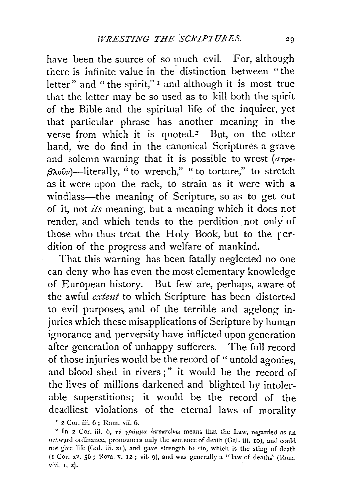have been the source of so much evil. For, although there is infinite value in the distinction between "the letter" and "the spirit,"  $\iota$  and although it is most true that the letter may be so used as to kill both the spirit of the Bible and the spiritual life of the inquirer, yet that particular phrase has another meaning in the verse from which it is quoted.<sup>2</sup> But, on the other hand, we do find in the canonical Scriptures a grave and solemn warning that it is possible to wrest ( $\sigma\tau\rho\epsilon$  $f(3\lambda o\hat{v}\nu)$ -literally, "to wrench," " to torture," to stretch as it were upon the rack, to strain as it were with a windlass-the meaning of Scripture, so as to get out of it, not *its* meaning, but a meaning which it does not render, and which tends to the perdition not only of those who thus treat the Holy Book, but to the rerdition of the progress and welfare of mankind.

That this warning has been fatally neglected no one can deny who has even the most elementary knowledge of European history. But few are, perhaps, aware of the awful *extent* to which Scripture has been distorted to evil purposes, and of the terrible and agelong injuries which these misapplications of Scripture by human ignorance and perversity have inflicted upon generation after generation of unhappy sufferers. The full record of those injuries would be the record of " untold agonies, and blood shed in rivers ;" it would be the record of the lives of millions darkened and blighted by intolerable superstitions; it would be the record of the deadliest violations of the eternal laws of morality

<sup>&</sup>lt;sup>1</sup> 2 Cor. iii. 6; Rom. vii. 6.<br><sup>2</sup> In 2 Cor. iii. 6, rò *ypappa drowrteves* means that the Law, regarded as an outward ordinance, pronounces only the sentence of death (Gal. iii. 10), and could not give life (Gal. iii. 21), and gave strength to sin, which is the sting of death (1 Cor. xv. 56; Rom. v. 12; vii. 9), and was generally a "Jaw of death.'' (Rom. v:ii. 1, 2).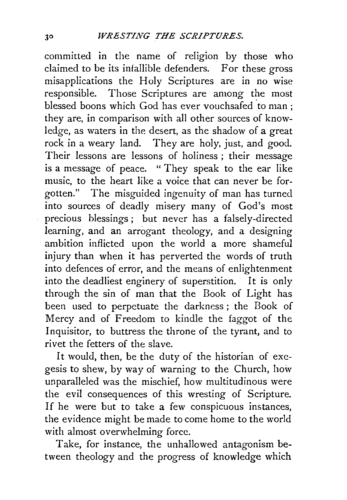committed in the name of religion by those who claimed to be its infallible defenders. For these gross misapplications the Holy Scriptures are in no wise responsible. Those Scriptures are among the most blessed boons which God has ever vouchsafed 'to man ; they are, in comparison with all other sources of knowledge, as waters in the desert, as the shadow of a great rock in a weary land. They are holy, just, and good. Their lessons are lessons of holiness ; their message is a message of peace. " They speak to the ear like music, to the heart like a voice that can never be forgotten." The misguided ingenuity of man has turned into sources of deadly misery many of God's most precious blessings ; but never has a falsely-directed learning, and an arrogant theology, and a designing ambition inflicted upon the world a more shameful injury than when it has perverted the words of truth into defences of error, and the means of enlightenment into the deadliest enginery of superstition. It is only through the sin of man that the Book of Light has been used to perpetuate the darkness ; the Book of Mercy and of Freedom to kindle the faggot of the Inquisitor, to buttress the throne of the tyrant, and to rivet the fetters of the slave.

It would, then, be the duty of the historian of exegesis to shew, by way of warning to the Church, how unparalleled was the mischief, how multitudinous were the evil consequences of this wresting of Scripture. If he were but to take a few conspicuous instances, the evidence might be made to come home to the world with almost overwhelming force.

Take, for instance, the unhallowed antagonism between theology and the progress of knowledge which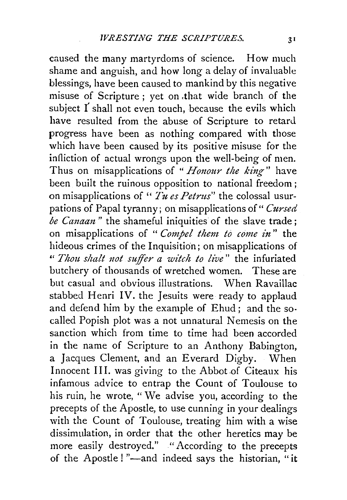caused the many martyrdoms of science. How much shame and anguish, and how long a delay of invaluable blessings, have been caused to mankind by this negative misuse of Scripture; yet on .that wide branch of the subject I shall not even touch, because the evils which have resulted from the abuse of Scripture to retard progress have been as nothing compared with those which have been caused by its positive misuse for the infliction of actual wrongs upon the well-being of men. Thus on misapplications of "*Honour the king*" have been built the ruinous opposition to national freedom; on misapplications of " *Tu es Petrus*" the colossal usurpations of Papal tyranny; on misapplications of " Cursed be Canaan" the shameful iniquities of the slave trade; on misapplications of " *Compel them to come in"* the hideous crimes of the Inquisition; on misapplications of " *Thou shalt not suffer a witch to live*" the infuriated butchery of thousands of wretched women. These are but casual and obvious illustrations. When Ravaillac stabbed Henri IV. the Jesuits were ready to applaud and defend him by the example of Ehud; and the socalled Popish plot was a not unnatural Nemesis on the sanction which from time to time had been accorded in the name of Scripture to an Anthony Babington, a Jacques Clement, and an Everard Digby. When Innocent III. was giving to the Abbot of Citeaux his infamous advice to entrap the Count of Toulouse to his ruin, he wrote, "We advise you, according to the precepts of the Apostle, to use cunning in your dealings with the Count of Toulouse, treating him with a wise dissimulation, in order that the other heretics may be more easily destroyed." "According to the precepts of the Apostle!"-and indeed says the historian, "it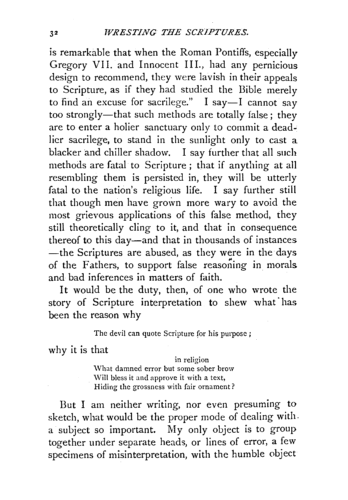is remarkable that when the Roman Pontiffs, especially Gregory VII. and Innocent III., had any pernicious design to recommend, they were lavish in their appeals to Scripture, as if they had studied the Bible merely to find an excuse for sacrilege." I say-I cannot say too strongly-that such methods are totally false; they are to enter a holier sanctuary only to commit a deadlier sacrilege, to stand in the sunlight only to cast a blacker and chiller shadow. I say further that all such methods are fatal to Scripture ; that if anything at all resembling them is persisted in, they will be utterly fatal to the nation's religious life. I say further still that though men have grown more wary to avoid the most grievous applications of this false method, they still theoretically cling to it, and that in consequence thereof to this day-and that in thousands of instances -the Scriptures are abused, as they were in the days of the Fathers, to support false reasoning in morals and bad inferences **in** matters of faith.

**It** would be the duty, then, of one who wrote the story of Scripture interpretation to shew what has been the reason why

The devil can quote Scripture for his purpose;

why it is that

in religion \Vhat damned error but some sober brow Will bless it and approve it with a text, Hiding the grossness with fair ornament?

But I am neither writing, nor even presuming to sketch, what would be the proper mode of dealing with. a subject so important. My only object is to group together under separate heads, or lines of error, a few specimens of misinterpretation, with the humble object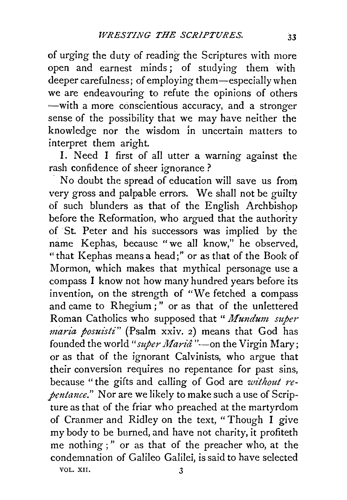of urging the duty of reading the Scriptures with more open and earnest minds; of studying them with deeper carefulness; of employing them-especially when we are endeavouring to refute the opinions of others -- with a more conscientious accuracy, and a stronger sense of the possibility that we may have neither the knowledge nor the wisdom in uncertain matters to interpret them aright.

I. Need I first of all utter a warning against the rash confidence of sheer ignorance ?

No doubt the spread of education will save us from very gross and palpable errors. We shall not be guilty of such blunders as that of the English Archbishop before the Reformation, who argued that the authority of St. Peter and his successors was implied by the name Kephas, because "we all know," he observed, "that Kephas means a head;" or as that of the Book of Mormon, which makes that mythical personage use a compass I know not how many hundred years before its invention, on the strength of "We fetched a compass and came to Rhegium;" or as that of the unlettered Roman Catholics who supposed that " *Mundum super maria posuisti"* (Psalm xxiv. 2) means that God has founded the world "*super Mariâ*" -- on the Virgin Mary; or as that of the ignorant Calvinists, who argue that their conversion requires no repentance for past sins, because " the gifts and calling of God are *without repentance."* Nor are we likely to make such a use of Scripture as that of the friar who preached at the martyrdom of Cranmer and Ridley on the text, "Though I give my body to be burned, and have not charity, it profiteth me nothing;" or as that of the preacher who, at the condemnation of Galileo Galilei, is said to have selected VOL. XII. 3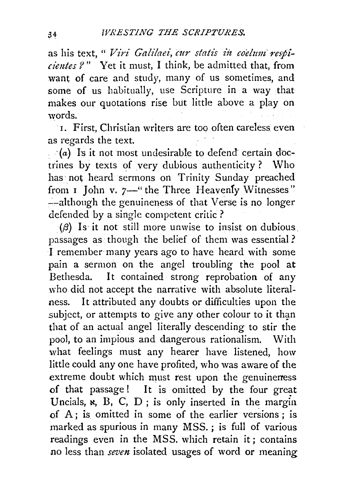as his text, " *Viri Galilaei*, cur statis in coelum respi*cientes?"* Yet it must, I think, be admitted that, from want of care and study, many of us sometimes, and some of us habitually, use Scripture in a way that makes our quotations rise but little above a play on words.

1. First, Christian writers are too often careless even as regards the text.

 $(a)$  Is it not most undesirable to defend certain doctrines by texts of very dubious authenticity? Who has· not heard sermons on Trinity Sunday preached from 1 John v. 7-" the Three Heavenly Witnesses" --although the genuineness of that Verse is no longer defended by a single competent critic?

 $(\beta)$  Is it not still more unwise to insist on dubious. passages as though the belief of them was essential? I remember many years ago to have heard with some pain a sermon on the angel troubling the pool at Bethesda. It contained strong reprobation of any who did not accept the narrative with absolute literalness. It attributed any doubts or difficulties upon the subject, or attempts to give any other colour to it than that of an actual angel literally descending to stir the pool, to an impious and dangerous rationalism. With what feelings must any hearer have listened, how little could any one have profited, who was aware of the extreme doubt which must rest upon the genuineress of that passage! It is omitted by the four great Uncials,  $\kappa$ ,  $B$ ,  $C$ ,  $D$ ; is only inserted in the margin of  $A$ ; is omitted in some of the earlier versions; is marked as spurious in many MSS. ; is full of various readings even in the MSS. which retain it ; contains no less than *seven* isolated usages of word or meaning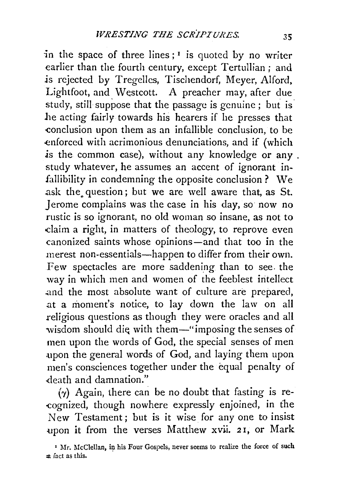in the space of three lines;  $\mathbf{I}$  is quoted by no writer earlier than the fourth century, except Tertullian; and *is* rejected by Tregelles, Tischendorf, *Meyer,* Alford, Lightfoot, and Westcott. A preacher may, after due study, still suppose that the passage is genuine ; but is *l1e* acting fairly towards his hearers if he presses that -conclusion upon them as an infallible conclusion, to *be*  enforced with acrimonious denunciations, and if (which is the common case), without any knowledge or any. study whatever, he assumes an accent of ignorant infallibility in condemning the opposite conclusion ? We ask the question; but we are well aware that, as St. Jerome complains was the case in his day, so now no rustic is so ignorant, no old woman so insane, as not to claim a right, in matters of theology, to reprove even canonized saints whose opinions-and that too in the merest non-essentials-happen to differ from their own. Few spectacles are more saddening than to see. the way in which men and women of the feeblest intellect .and the most absolute want of culture are prepared, .at a moment's notice, to lay down the law on all .religious questions as though they were oracles and all wisdom should die with them-" imposing the senses of men upon the words of God, the special senses of men •upon the general words of God, and laying them upon men's consciences together under the equal penalty of ·death and damnation."

 $(y)$  Again, there can be no doubt that fasting is re--cognized, though nowhere expressly enjoined, in *the*  New Testament; but is it wise for any one to insist upon it from the verses Matthew xvii. 21, or Mark

<sup>&</sup>lt;sup>1</sup> Mr. McClellan, in his Four Gospels, never seems to realize the force of such ~ fact as this.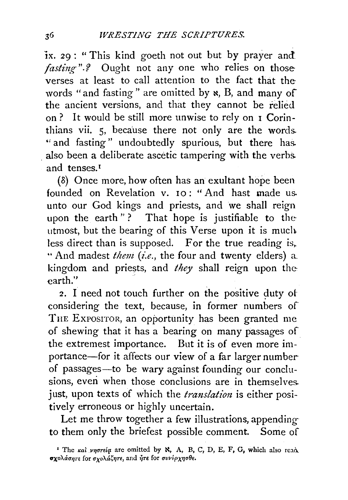ix. 29 : "This kind goeth not out but by prayer and fasting".? Ought not any one who relies on those verses at least to call attention to the fact that thewords "and fasting" are omitted by  $\kappa$ , B, and many of the ancient versions, and that they cannot be relied on? It would be still more unwise to rely on 1 Corinthians vii. 5, beca'use there not only are the words. " and fasting" undoubtedly spurious, but there has. also been a deliberate ascetic tampering with the verbs. and tenses.<sup>1</sup>

(S) Once more, how often has an exultant hope been founded on Revelation v. 10: "And hast made us. unto our God kings and priests, and we shall reign upon the earth "? That hope is justifiable to theutmost, but the bearing of this Verse upon it is much less direct than is supposed. For the true reading is, " And madest *them* (*i.e.*, the four and twenty elders) a. kingdom and priests, and *they* shall reign upon the earth."

2. I need not touch further on the positive duty of considering the text, because, in former numbers of THE EXPOSITOR, an opportunity has been granted me of shewing that it has a bearing on many passages of the extremest importance. But it is of even more importance-for it affects our view of a far larger number of passages-to be wary against founding our conclusions, even when those conclusions are in themselves. just, upon texts of which the *translation* is either positively erroneous or highly uncertain.

Let me throw together a few illustrations, appendingto them only the briefest possible comment. Some of

<sup>&</sup>lt;sup>1</sup> The *xal vnortia* are omitted by  $\aleph$ , A, B, C, D, E, F, G, which also read. σχολάσητε for σχολάζητε, and ήτε for συνέρχησθε.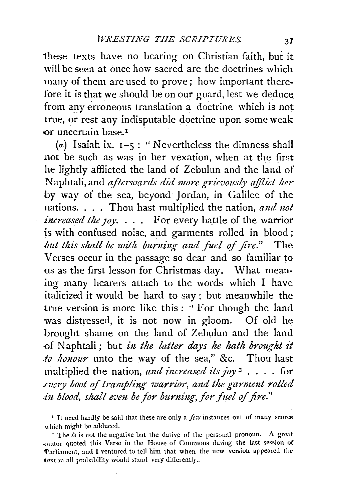these texts have no bearing on Christian faith, but it will be seen at once how sacred are the doctrines which many of them are used to prove; how important therefore it is that we should be on our guard, lest we deduce from any erroneous translation a doctrine which is not true, or rest any indisputable doctrine upon some weak or uncertain base.<sup>1</sup>

(a) Isaiah ix.  $1-5$ : "Nevertheless the dimness shall not be such as was in her vexation, when at the first he lightly afflicted the land of Zebulun and the land of Naphtali, and *afterwards did more grievously afflict her* by way of the sea, beyond Jordan, in Galilee of the nations. . . . Thou hast multiplied the nation, and not *increased the 10y.* . . . For every battle of the warrior is with confused noise, and garments rolled in blood; *but this shall be with burning and fuel of fire.*" The Verses occur in the passage so dear and so familiar to us as the first lesson for Christmas day. What meaning many hearers attach to the words which I have italicized it would be hard to say; but meanwhile the true version is more like this : " For though the land was distressed, it is not now jn gloom. Of old he brought shame on the land of Zebulun and the land of Naphtali; but *in the latter days he hath brought it io honour* unto the way of the sea," &c. Thou hast multiplied the nation, and increased its joy<sup>2</sup> . . . . for *.cv:ny boot of trampling warrior, a1zd the garmmt rolled*  in blood, shall even be for burning, for fuel of fire."

<sup>&#</sup>x27; It need hardly be said that these are only a *few* instances out of many scores which might be adduced.

<sup>&</sup>lt;sup>2</sup> The  $l\bar{\theta}$  is not the negative but the dative of the personal pronoun. A great <()ralor quoted this Verse in the House of Commons during the last session of 'Parliament, and I ventured to tell him that when the new version appeared the text in all probability would stand very differently.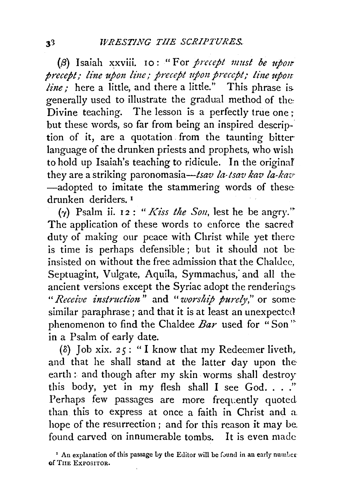(13) Isaiah xxviii. 10: "For *precept 11mst be ttj01r precept; line upon line; precept upon precept; line upon line*; here a little, and there a little." This phrase is. generally used to illustrate the gradual method of the: Divine teaching. The lesson is a perfectly true one ; but these words, so far from being an inspired description of it, are a quotation. from the taunting bitter language of the drunken priests and prophets, who wish to hold up Isaiah's teaching to ridicule. In the originaf they are a striking paronomasia-tsav *la-tsav kav la-kav·*  -adopted to imitate the stammering words of these: drunken deriders. 1

( $\gamma$ ) Psalm ii. 12 : *"Kiss the Son*, lest he be angry." The application of these words to enforce the sacred duty of making our peace with Christ while yet thereis time is perhaps defensible; but it should not be insisted on without the free admission that the Chaldee. Septuagint, Vulgate, Aquila, Symmachus; and all theancient versions except the Syriac adopt the renderings. *"Receive instruction"* and *"·worship pure!J',"* or some: similar paraphrase ; and that it is at least an unexpected phenomenon to find the Chaldee *Bar* used for " Son'" in a Psalm of early date.

( $\delta$ ) Job xix.  $2\zeta$ : "I know that my Redeemer liveth, and that he shall stand at the latter day upon the earth : and though after my skin worms shall destroy this body, yet in my flesh shall I see God. . . ." Perhaps few passages are more frequently quoted. than this to express at once a faith in Christ and a hope of the resurrection ; and for this reason it may be. found carved on innumerable tombs. It is even made

<sup>z</sup> An explanation of this passage by the Editor will be found in an early number of TIIE EXPOSITOR.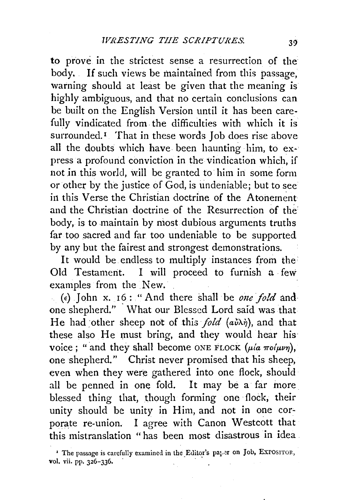to prove in the strictest sense a resurrection of the body. . If such views be maintained from this passage, warning should at least be given that the meaning is highly ambiguous, and that no certain conclusions can be built on the English Version until it has been carefully vindicated from the difficulties with which it is surrounded.<sup>1</sup> That in these words Job does rise above all the doubts which have been haunting him, to ex· press a profound conviction in the vindication which, if not in this world, will be granted to him in some form or other by the justice of God, is undeniable; but to see in this Verse the Christian doctrine of the Atonement and the Christian doctrine of the Resurrection of the body, is to maintain by most dubious arguments truths far too sacred and far too undeniable to be supported by any but the fairest and strongest demonstrations.

It would be endless to multiply instances from the Old Testament. I will proceed to furnish a few examples from the New.

(e) John x.  $16:$  "And there shall be one fold and one shepherd." What our Blessed Lord said was that He had other sheep not of this *fold*  $(a\dot{v}\lambda\dot{\eta})$ , and that these also He must bring, and they would hear his voice ; " and they shall become ONE FLOCK  $(\mu/a \pi o(\mu\nu))$ , one shepherd." Christ never promised that his sheep, even when they were gathered into one flock, should all be penned in one fold. It may be a far more blessed thing that, though forming one flock, their unity should be unity in Him, and not in one corporate re-union. I agree with Canon Westcott that this mistranslation " has been most disastrous in idea

<sup>&</sup>lt;sup>1</sup> The passage is carefully examined in the Editor's pa<sub>1</sub>-er on Job, EXPOSITOR, vol. vii. pp. 326-336.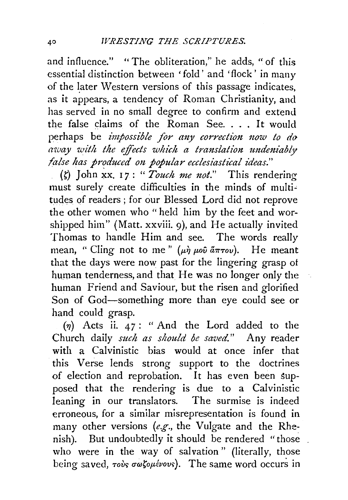and influence." "The obliteration," he adds, "of this essential distinction between 'fold' and 'flock' in many of the later Western versions of this passage indicates, as it appears, a tendency of Roman Christianity, and has served in no small degree to confirm and extend the false claims of the Roman See. . . . It would perhaps be *impossible for any correction now to do away with the effects which a trmtslation undeniably false has produced on popular ecclesiastical ideas.*"

{~) John ~x. 17: *"Touch me not."* This rendering must surely create difficulties in the minds of multitudes of readers; for our Blessed Lord did not reprove the other women who "held him by the feet and worshipped him" (Matt. xxviii. 9), and He actually invited Thomas to handle Him and see. The words really mean, " Cling not to me"  $(\mu \dot{\eta} \mu \dot{\omega} \dot{\alpha} \pi \tau \dot{\omega})$ . He meant that the days were now past for the lingering grasp ot human tenderness, and that He was no longer only the human Friend and Saviour, but the risen and glorified Son of God-something more than eye could see or hand could grasp.

 $(n)$  Acts ii. 47: " And the Lord added to the Church daily *such as should be saved."* Any reader with a Calvinistic bias would at once infer that this Verse lends strong support to the doctrines of election and reprobation. It has even been supposed that the rendering is due to a Calvinistic leaning in our translators. The surmise is indeed erroneous, for a similar misrepresentation is found in many other versions *(e.g.,* the Vulgate and the Rhenish). But undoubtedly it should be rendered "those who were in the way of salvation" (literally, those being saved, *rovs*  $\sigma\omega\zeta_0\mu\zeta\omega_0$ ). The same word occurs in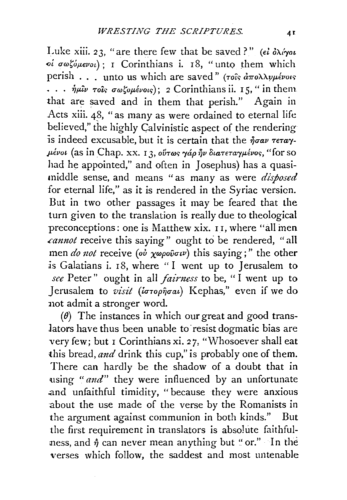Luke xiii. 23, "are there few that be saved?" (*el*  $\partial \lambda/\partial u$  $o$ *i* σωζόμενοι): I Corinthians i. 18, "unto them which perish . . . unto us which are saved" ( $\tau$ oîs  $\hat{a}\pi$ o $\lambda\lambda\nu\mu\hat{\epsilon}\nu$ ois  $\cdots$   $\dot{\eta}\mu\hat{\iota}\nu$   $\tau o\hat{\iota}s$   $\sigma\omega\zeta o\mu\acute{\iota}\nu o\iota\varsigma);$  2 Corinthians ii. 15, " in them. that are saved and in them that perish." Again in Acts xiii. 48, "as many as were ordained to eternal life believed," the highly Calvinistic aspect of the rendering is indeed excusable, but it is certain that the  $\hat{\eta}$ *oav*  $\tau$ *e* $\tau$ *a* $\gamma$  $μένοι$  (as in Chap. xx, 13, οὕτως γάρ ήν διατεταγμένος, "for so had he appointed," and often in Josephus) has a quasimiddle sense, and means "as many as were *disposed*  for eternal life," as it is rendered in the Syriac version. But in two other passages it may be feared that the turn given to the translation is really due to theological preconceptions: one is Matthew xix. II, where "all men *.cannot* receive this saying" ought to be rendered, "all men *do not* receive (ov  $\chi \omega \rho \omega \tilde{\sigma} \sigma \nu$ ) this saying;" the other is Galatians i.  $18$ , where "I went up to Jerusalem to *see* Peter" ought in *all.fainzess* to be, "I went up to Jerusalem to *visit (ιστορήσαι*) Kephas," even if we do 11ot admit a stronger word.

( $\theta$ ) The instances in which our great and good translators have thus been unable to resist dogmatic bias are very few; but I Corinthians xi. 27, "Whosoever shall eat this bread, *and* drink this cup," is probably one of them. There can hardly be the shadow of a doubt that in using *"and*" they were influenced by an unfortunate and unfaithful timidity, "because they were anxious about the use made of the verse by the Romanists in the argument against communion in both kinds." But the first requirement in translators is absolute faithfulness, and  $\hat{\eta}$  can never mean anything but "or." In the verses which follow, the saddest and most untenable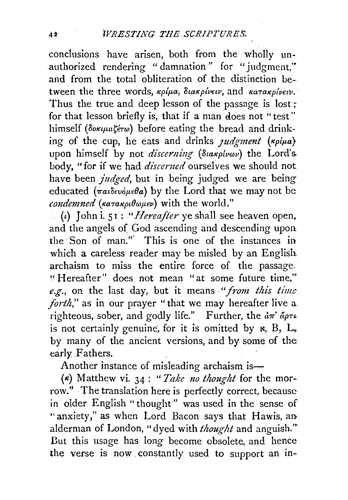conclusions have arisen, both from the wholly unauthorized rendering "damnation" for "judgment," and from the total obliteration of the distinction between the three words,  $\kappa \rho / \mu a$ ;  $\delta \iota \alpha \kappa \rho / \nu \epsilon \iota \nu$ , and  $\kappa \alpha \tau \alpha \kappa \rho / \nu \epsilon \iota \nu$ . Thus the true and deep lesson of the passage is lost; for that lesson briefly is, that if a man does not "test" himself *(δοκιμαζέτω)* before eating the bread and drinking of the cup, he eats and drinks *judgment* ( $\kappa \rho/\mu a$ ) upon himself by not *discerning (Stakplvov)* the Lord's. body, "for if we had *discerned* ourselves we should not have been *judged,* but in being judged we are being educated  $(\pi a \delta \epsilon \nu \acute{\omega} \mu \epsilon \theta \acute{a})$  by the Lord that we may not be. *condemned* (κατακριθωμεν) with the world."

(t) John i. 51 : *"Hereafter* ye shall see heaven open. and the angels of God ascending and descending upon. the· Son of man."· This is one of the instances in which a careless reader may be misled by an English. archaism to miss the entire force of the passage. ~'Hereafter" does not mean "at some future time,'~ e.g., on the last day, but it means "from this time *forth*," as in our prayer "that we may hereafter live a. righteous, sober, and godly life." Further, the  $d\pi$   $d\rho\tau\iota$ is not certainly genuine, for it is omitted by  $\kappa$ , B, L, by many of the ancient versions, and by some of the early Fathers.

Another instance of misleading archaism is-

 $(k)$  Matthew vi. 34 : "*Take no thought* for the morrow." The translation here is perfectly correct, because in older English "thought" was used in the sense of "anxiety," as when Lord Bacon says that Hawis, an alderman of London, "dyed with *thought* and anguish.'~ But this usage has long become obsolete, and hence the verse is now. constantly used to support an in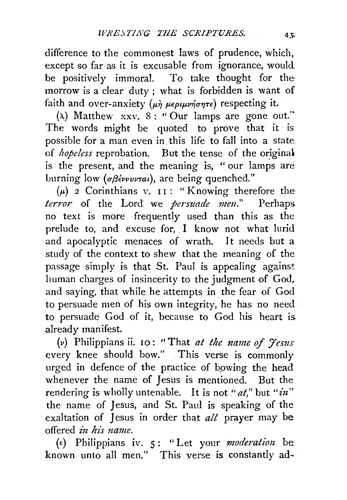difference to the commonest laws of prudence, which, except so far as it is excusable from ignorance, would be positively immoral. To take thought for themorrow is a clear duty ; what is forbidden is want of faith and over-anxiety ( $\mu\dot{\eta}$   $\mu\epsilon\rho\iota\mu\nu\eta\sigma\eta\tau\epsilon$ ) respecting it.

( $\lambda$ ) Matthew xxv. 8 : "Our lamps are gone out." The words might be quoted to prove that it is possible for a man even in.this life to fall into a state of *hopeless* reprobation. But the tense of the original is the present, and the meaning is, " our lamps are burning low (σβέννυνται), are being quenched."

 $(\mu)$  2 Corinthians v. 11: " Knowing therefore the *terror* of the Lord we *persuade meu."* Perhaps. no text is more frequently used than this as the prelude to, and excuse for, I know not what lurid and apocalyptic menaces of wrath. It needs but a study of the context to shew that the meaning of the passage simply is that St. Paul is appealing against human charges of insincerity to the judgment of God, and saying, that while he attempts in the fear of God to persuade men of his own integrity, he has no need to persuade God of it, because to God his heart is. already manifest.

(v) Philippians ii. 10: "That *at the name of Jesus* every knee should bow." This verse is commonly urged in defence of the practice of bowing the head whenever the name of Jesus is mentioned. But the rendering is wholly untenable. It is not " $at$ ," but " $in'$ " the name of Jesus, and St. Paul is speaking of the exaltation of Jesus in order that *all* prayer may be offered *in his name*.

(e) Philippians iv. 5: "Let your *moderatiou* be known unto all men." This verse is constantly ad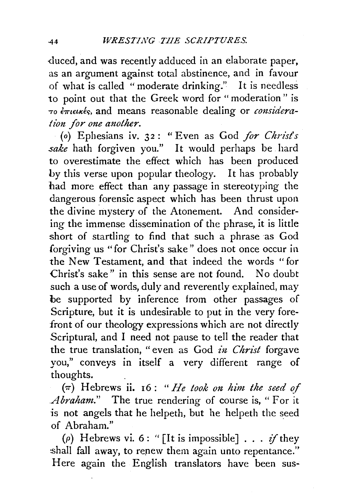-duced, and was recently adduced in an elaborate paper, as an argument against total abstinence, and in favour of what is called "moderate drinking." It is needless to point out that the Greek word for "moderation" is  $\tau$ <sup>o</sup>  $\epsilon$ <sup>*πιεικές*, and means reasonable dealing or *considera*-</sup> *tion for one another.* 

(o) Ephesians iv. 32: "Even as God *for Christ's sake* hath forgiven you." It would perhaps be hard to overestimate the effect which has been produced by this verse upon popular theology. It has probably had more effect than any passage in stereotyping the dangerous forensic aspect which has been thrust upon the divine mystery of the Atonement. And considering the immense dissemination of the phrase, it is little short of startling to find that such a phrase as God forgiving us "for Christ's sake" does not once occur in the New Testament, and that indeed the words "for Christ's sake" in this sense are not found. No doubt such a use of words, duly and reverently explained, may be supported by inference from other passages of Scripture, but it is undesirable to put in the very forefront of our theology expressions which are not directly Scriptural, and I need not pause to tell the reader that the true translation, "even as God *in Christ* forgave you," conveys in itself a very different range of thoughts.

{1r) Hebrews ii. 16 : *"He took on him the seed of Abraham."* The true rendering of course is, "For it is not angels that he helpeth, but he helpeth the seed of Abraham."

( $\rho$ ) Hebrews vi. 6: "[It is impossible] . . . if they shall fall away, to repew them again unto repentance." Here again the English translators have been sus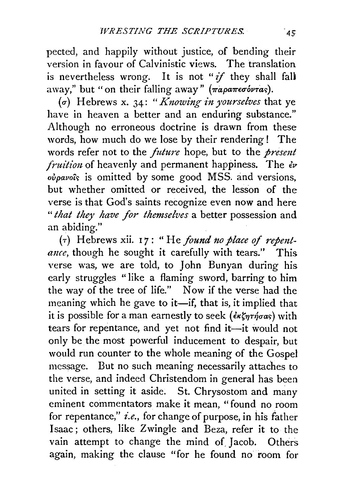pected, and happily without justice, of bending their version in favour of Calvinistic views. The translation is nevertheless wrong. It is not *"if* they shall fall away," but "on their falling away" ( $\pi a \rho a \pi \epsilon \sigma \omega r a s$ ).

(a-) Hebrews x. 34: *"Knowing in yourselves* that ye have in heaven a better and an enduring substance." Although no erroneous doctrine is drawn from these words, how much do we lose by their rendering! The words refer not to the *future* hope, but to the *presmt fruition* of heavenly and permanent happiness. The  $\epsilon \nu$ *ovpavoic;* is omitted by some good MSS. and versions, but whether omitted or received, the lesson of the verse is that God's saints recognize even now and here " *that they have for themselves* a better possession and an abiding."

( $\tau$ ) Hebrews xii. 17: "He *found no place of repentance*, though he sought it carefully with tears." This verse was, we are told, to John Bunyan during his early struggles "like a flaming sword, barring to him the way of the tree of life." Now if the verse had the meaning which he gave to it-if, that is, it implied that it is possible for a man earnestly to seek ( $\epsilon \kappa \zeta \eta \tau \eta \sigma \alpha s$ ) with tears for repentance, and yet not find it-it would not only be the most powerful inducement to despair, but would run counter to the whole meaning of the Gospel message. But no such meaning necessarily attaches to the verse, and indeed Christendom in general has been united in setting it aside. St. Chrysostom and many eminent commentators make it mean, "found no room for repentance," *i.e.,* for change of purpose, in his father Isaac; others, like Zwingle and Beza, refer it to the vain attempt to change the mind of Jacob. Others again, making the clause "for he found no room for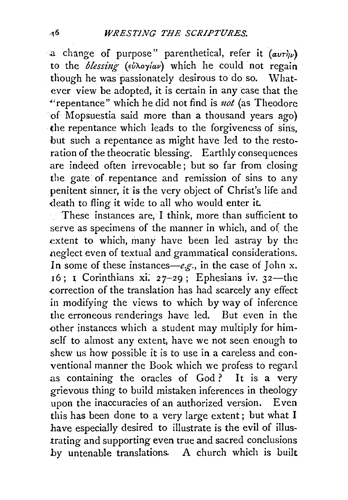a change of purpose" parenthetical, refer it  $(avr\n)$ to the *blessing- (d/'Aoylav)* which he could not regain though he was passionately desirous to do so. What-<br>ever view be adopted, it is certain in any case that the "repentance" which he did not find is *not* (as Theodore of Mopsuestia said more than a thousand years ago) ·the repentance which leads to the forgiveness of sins, but such a repentance as might have led to the restoration of the theocratic blessing. Earthly consequences are indeed often irrevocable ; but so far from closing the gate of repentance and remission of sins to any penitent sinner, it is the very object of Christ's life and death to fling it wide to all who would enter it.

These instances are, I think, more than sufficient to serve as specimens of the manner in which, and of the extent to which, many have been led astray by the neglect even of textual and grammatical considerations. In some of these instances—e.g., in the case of John x.  $16$ ; I Corinthians xi. 27-29; Ephesians iv. 32—the .correction of the translation has had scarcely any effect in modifying the views to which by way of inference the erroneous renderings have led. But even in the other instances which a student may multiply for himself to almost any extent, have we not seen enough to shew us how possible it is to use in a careless and conventional manner the Book which we profess to regard as containing the oracles of God? It is a very grievous thing to build mistaken inferences in theology upon the inaccuracies of an authorized version. Even this has been done to a very large extent; but what I have especiaJly desired to illustrate is the evil of illustrating and supporting even true and sacred conclusions by untenable translations. A church which is built